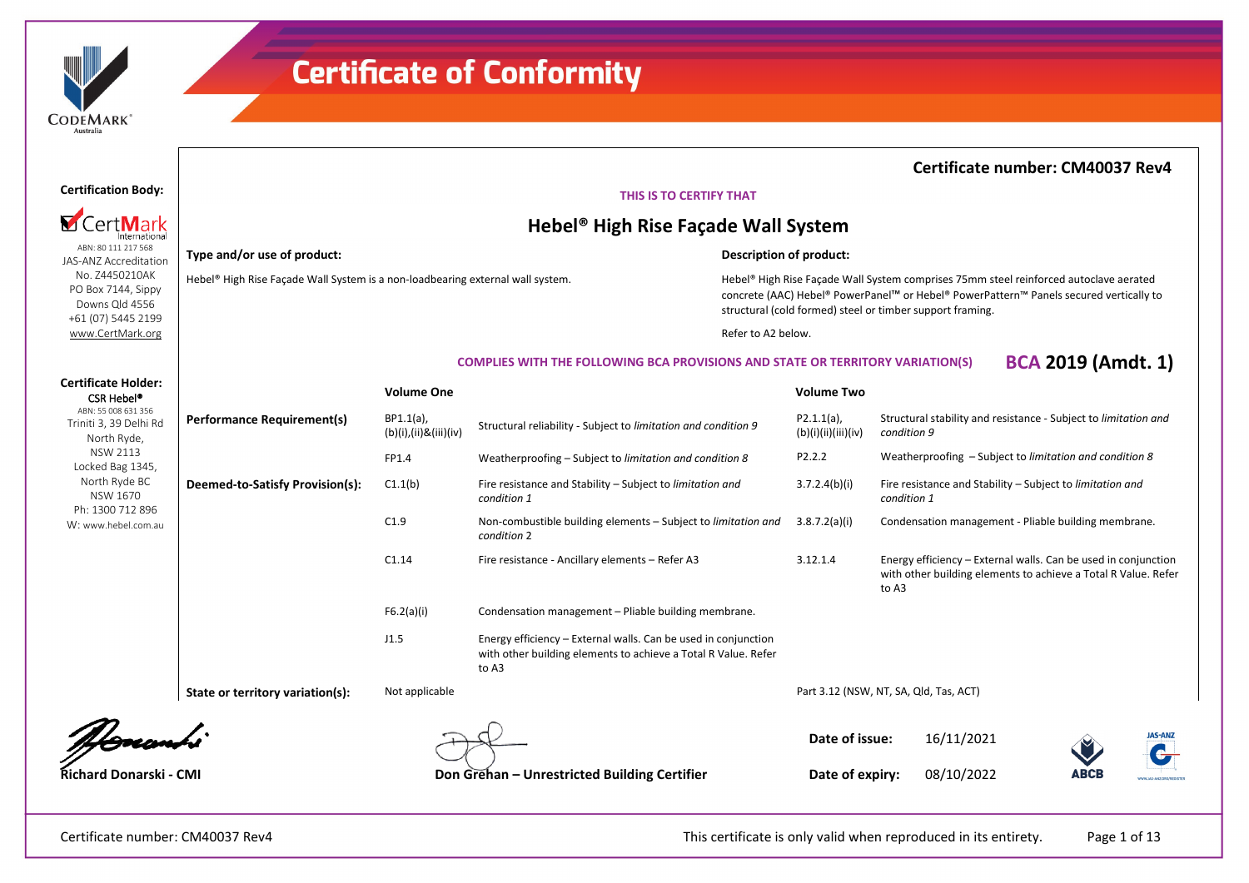

Hebel® High Rise Façade Wall System is a non-loadbearing external wall system.

### **Certificate number: CM40037 Rev4**

### **THIS IS TO CERTIFY THAT**

### **Hebel® High Rise Façade Wall System**

### **Description of product:**

Hebel® High Rise Façade Wall System comprises 75mm steel reinforced autoclave aerated concrete (AAC) Hebel® PowerPanel™ or Hebel® PowerPattern™ Panels secured vertically to structural (cold formed) steel or timber support framing.

Refer to A2 below.

### **COMPLIES WITH THE FOLLOWING BCA PROVISIONS AND STATE OR TERRITORY VARIATION(S) BCA 2019 (Amdt. 1)**

| <b>CSR Hebel<sup>®</sup></b>                                 |                                   | <b>Volume One</b>                  |                                                                                                                                           | <b>Volume Two</b>                      |             |                                                                                                                                  |             |                                 |
|--------------------------------------------------------------|-----------------------------------|------------------------------------|-------------------------------------------------------------------------------------------------------------------------------------------|----------------------------------------|-------------|----------------------------------------------------------------------------------------------------------------------------------|-------------|---------------------------------|
| ABN: 55 008 631 356<br>Triniti 3, 39 Delhi Rd<br>North Ryde, | <b>Performance Requirement(s)</b> | BP1.1(a),<br>(b)(i),(ii)&(iii)(iv) | Structural reliability - Subject to limitation and condition 9                                                                            | $P2.1.1(a)$ ,<br>(b)(i)(ii)(iii)(iv)   | condition 9 | Structural stability and resistance - Subject to limitation and                                                                  |             |                                 |
| NSW 2113<br>Locked Bag 1345,                                 |                                   | FP1.4                              | Weatherproofing – Subject to limitation and condition 8                                                                                   | P2.2.2                                 |             | Weatherproofing - Subject to limitation and condition 8                                                                          |             |                                 |
| North Ryde BC<br><b>NSW 1670</b>                             | Deemed-to-Satisfy Provision(s):   | C1.1(b)                            | Fire resistance and Stability – Subject to limitation and<br>condition 1                                                                  | 3.7.2.4(b)(i)                          | condition 1 | Fire resistance and Stability – Subject to limitation and                                                                        |             |                                 |
| Ph: 1300 712 896<br>W: www.hebel.com.au                      |                                   | C1.9                               | Non-combustible building elements - Subject to limitation and<br>condition 2                                                              | 3.8.7.2(a)(i)                          |             | Condensation management - Pliable building membrane.                                                                             |             |                                 |
|                                                              |                                   | C1.14                              | Fire resistance - Ancillary elements - Refer A3                                                                                           | 3.12.1.4                               | to A3       | Energy efficiency - External walls. Can be used in conjunction<br>with other building elements to achieve a Total R Value. Refer |             |                                 |
|                                                              |                                   | F6.2(a)(i)                         | Condensation management - Pliable building membrane.                                                                                      |                                        |             |                                                                                                                                  |             |                                 |
|                                                              |                                   | J1.5                               | Energy efficiency - External walls. Can be used in conjunction<br>with other building elements to achieve a Total R Value. Refer<br>to A3 |                                        |             |                                                                                                                                  |             |                                 |
|                                                              | State or territory variation(s):  | Not applicable                     |                                                                                                                                           | Part 3.12 (NSW, NT, SA, Qld, Tas, ACT) |             |                                                                                                                                  |             |                                 |
|                                                              |                                   |                                    |                                                                                                                                           | Date of issue:                         |             | 16/11/2021                                                                                                                       |             | <b>JAS-ANZ</b>                  |
| <b>Richard Donarski - CMI</b>                                |                                   |                                    | Don Grehan – Unrestricted Building Certifier                                                                                              | Date of expiry:                        |             | 08/10/2022                                                                                                                       | <b>ABCB</b> | <b>WWW.IAS-ANZ ORD/REGISTER</b> |

### **Certification Body:**

### **M** CertMark Internationa

ABN: 80 111 217 568 JAS-ANZ Accreditation No. Z4450210AK PO Box 7144, Sippy Downs Qld 4556 +61 (07) 5445 2199 [www.CertMark.org](http://www.certmark.org/)

**Type and/or use of product:**

**Certificate Holder:**

Certificate number: CM40037 Rev4 This certificate is only valid when reproduced in its entirety. Page 1 of 13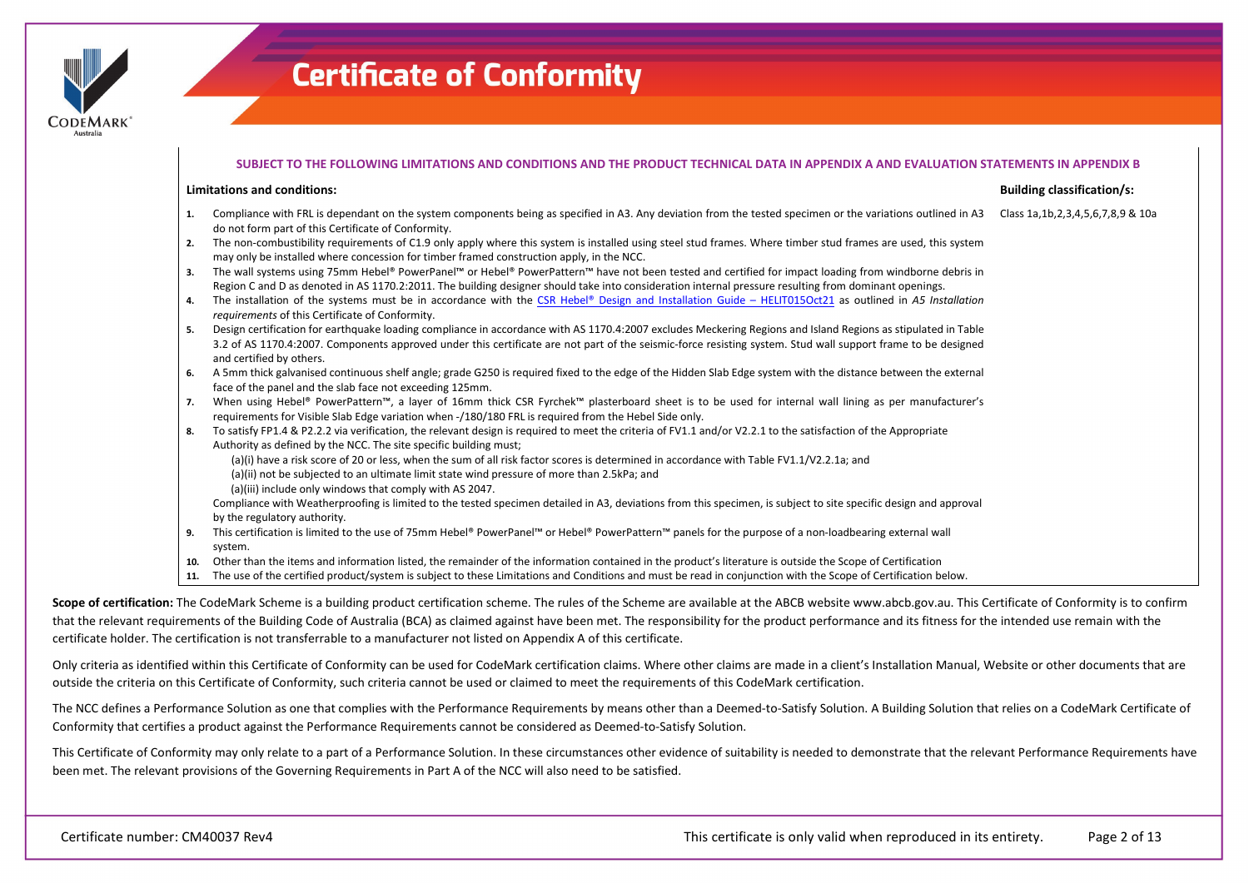

|            | SUBJECT TO THE FOLLOWING LIMITATIONS AND CONDITIONS AND THE PRODUCT TECHNICAL DATA IN APPENDIX A AND EVALUATION STATEMENTS IN APPENDIX B                                                                                                                                                                                                                  |                                            |
|------------|-----------------------------------------------------------------------------------------------------------------------------------------------------------------------------------------------------------------------------------------------------------------------------------------------------------------------------------------------------------|--------------------------------------------|
|            | <b>Limitations and conditions:</b>                                                                                                                                                                                                                                                                                                                        | <b>Building classification/s:</b>          |
| 1.         | Compliance with FRL is dependant on the system components being as specified in A3. Any deviation from the tested specimen or the variations outlined in A3<br>do not form part of this Certificate of Conformity.                                                                                                                                        | Class 1a, 1b, 2, 3, 4, 5, 6, 7, 8, 9 & 10a |
| 2.         | The non-combustibility requirements of C1.9 only apply where this system is installed using steel stud frames. Where timber stud frames are used, this system<br>may only be installed where concession for timber framed construction apply, in the NCC.                                                                                                 |                                            |
| 3.         | The wall systems using 75mm Hebel® PowerPanel™ or Hebel® PowerPattern™ have not been tested and certified for impact loading from windborne debris in<br>Region C and D as denoted in AS 1170.2:2011. The building designer should take into consideration internal pressure resulting from dominant openings.                                            |                                            |
| 4.         | The installation of the systems must be in accordance with the CSR Hebel® Design and Installation Guide - HELIT015Oct21 as outlined in A5 Installation<br>requirements of this Certificate of Conformity.                                                                                                                                                 |                                            |
| 5.         | Design certification for earthquake loading compliance in accordance with AS 1170.4:2007 excludes Meckering Regions and Island Regions as stipulated in Table<br>3.2 of AS 1170.4:2007. Components approved under this certificate are not part of the seismic-force resisting system. Stud wall support frame to be designed<br>and certified by others. |                                            |
| 6.         | A 5mm thick galvanised continuous shelf angle; grade G250 is required fixed to the edge of the Hidden Slab Edge system with the distance between the external<br>face of the panel and the slab face not exceeding 125mm.                                                                                                                                 |                                            |
| 7.         | When using Hebel® PowerPattern™, a layer of 16mm thick CSR Fyrchek™ plasterboard sheet is to be used for internal wall lining as per manufacturer's<br>requirements for Visible Slab Edge variation when -/180/180 FRL is required from the Hebel Side only.                                                                                              |                                            |
| 8.         | To satisfy FP1.4 & P2.2.2 via verification, the relevant design is required to meet the criteria of FV1.1 and/or V2.2.1 to the satisfaction of the Appropriate<br>Authority as defined by the NCC. The site specific building must;                                                                                                                       |                                            |
|            | (a)(i) have a risk score of 20 or less, when the sum of all risk factor scores is determined in accordance with Table FV1.1/V2.2.1a; and<br>(a)(ii) not be subjected to an ultimate limit state wind pressure of more than 2.5kPa; and<br>(a)(iii) include only windows that comply with AS 2047.                                                         |                                            |
|            | Compliance with Weatherproofing is limited to the tested specimen detailed in A3, deviations from this specimen, is subject to site specific design and approval<br>by the regulatory authority.                                                                                                                                                          |                                            |
| 9.         | This certification is limited to the use of 75mm Hebel® PowerPanel™ or Hebel® PowerPattern™ panels for the purpose of a non-loadbearing external wall<br>system.                                                                                                                                                                                          |                                            |
| 10.<br>11. | Other than the items and information listed, the remainder of the information contained in the product's literature is outside the Scope of Certification<br>The use of the certified product/system is subject to these Limitations and Conditions and must be read in conjunction with the Scope of Certification below.                                |                                            |

Scope of certification: The CodeMark Scheme is a building product certification scheme. The rules of the Scheme are available at the ABCB website www.abcb.gov.au. This Certificate of Conformity is to confirm that the relevant requirements of the Building Code of Australia (BCA) as claimed against have been met. The responsibility for the product performance and its fitness for the intended use remain with the certificate holder. The certification is not transferrable to a manufacturer not listed on Appendix A of this certificate.

Only criteria as identified within this Certificate of Conformity can be used for CodeMark certification claims. Where other claims are made in a client's Installation Manual, Website or other documents that are outside the criteria on this Certificate of Conformity, such criteria cannot be used or claimed to meet the requirements of this CodeMark certification.

The NCC defines a Performance Solution as one that complies with the Performance Requirements by means other than a Deemed-to-Satisfy Solution. A Building Solution that relies on a CodeMark Certificate of Conformity that certifies a product against the Performance Requirements cannot be considered as Deemed-to-Satisfy Solution.

This Certificate of Conformity may only relate to a part of a Performance Solution. In these circumstances other evidence of suitability is needed to demonstrate that the relevant Performance Requirements have been met. The relevant provisions of the Governing Requirements in Part A of the NCC will also need to be satisfied.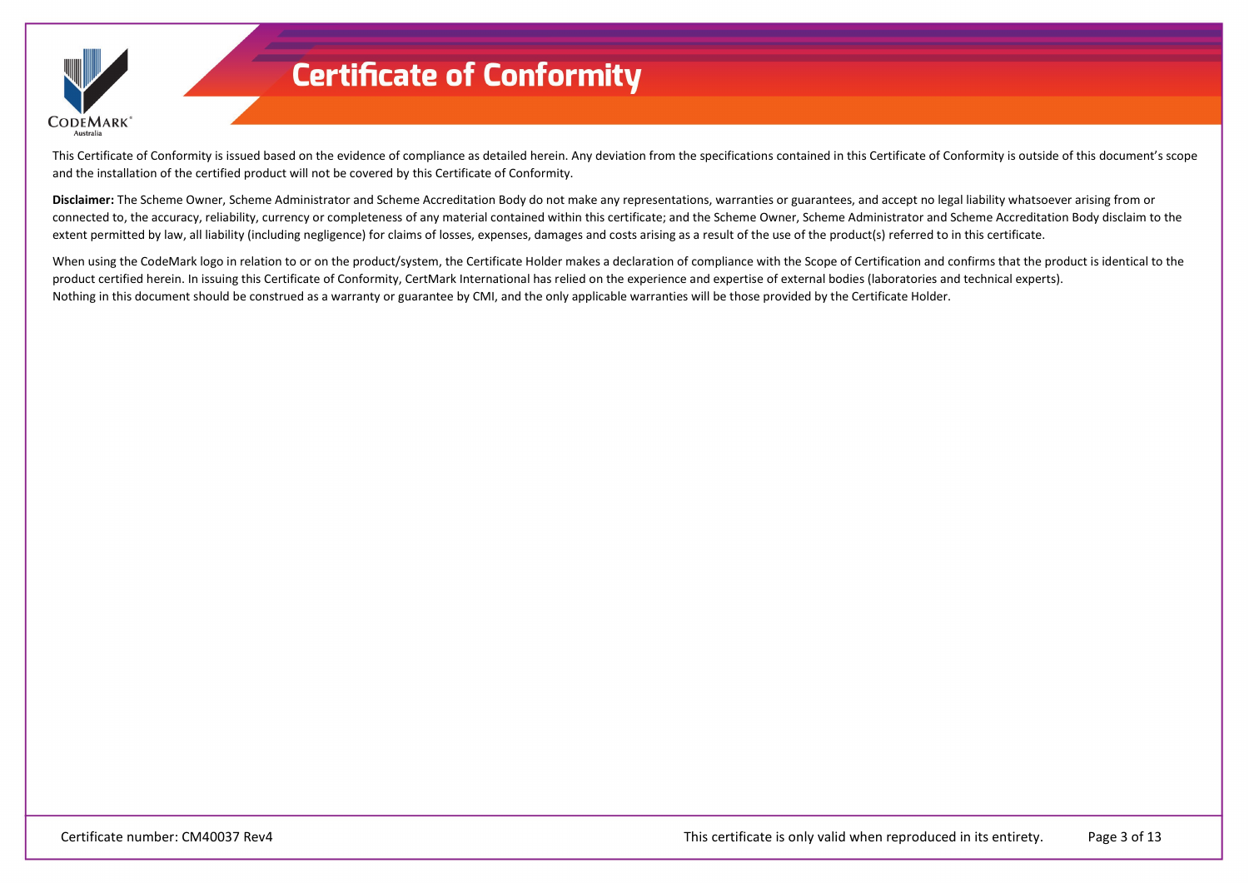

This Certificate of Conformity is issued based on the evidence of compliance as detailed herein. Any deviation from the specifications contained in this Certificate of Conformity is outside of this document's scope and the installation of the certified product will not be covered by this Certificate of Conformity.

**Disclaimer:** The Scheme Owner, Scheme Administrator and Scheme Accreditation Body do not make any representations, warranties or guarantees, and accept no legal liability whatsoever arising from or connected to, the accuracy, reliability, currency or completeness of any material contained within this certificate; and the Scheme Owner, Scheme Administrator and Scheme Accreditation Body disclaim to the extent permitted by law, all liability (including negligence) for claims of losses, expenses, damages and costs arising as a result of the use of the product(s) referred to in this certificate.

When using the CodeMark logo in relation to or on the product/system, the Certificate Holder makes a declaration of compliance with the Scope of Certification and confirms that the product is identical to the product certified herein. In issuing this Certificate of Conformity, CertMark International has relied on the experience and expertise of external bodies (laboratories and technical experts). Nothing in this document should be construed as a warranty or guarantee by CMI, and the only applicable warranties will be those provided by the Certificate Holder.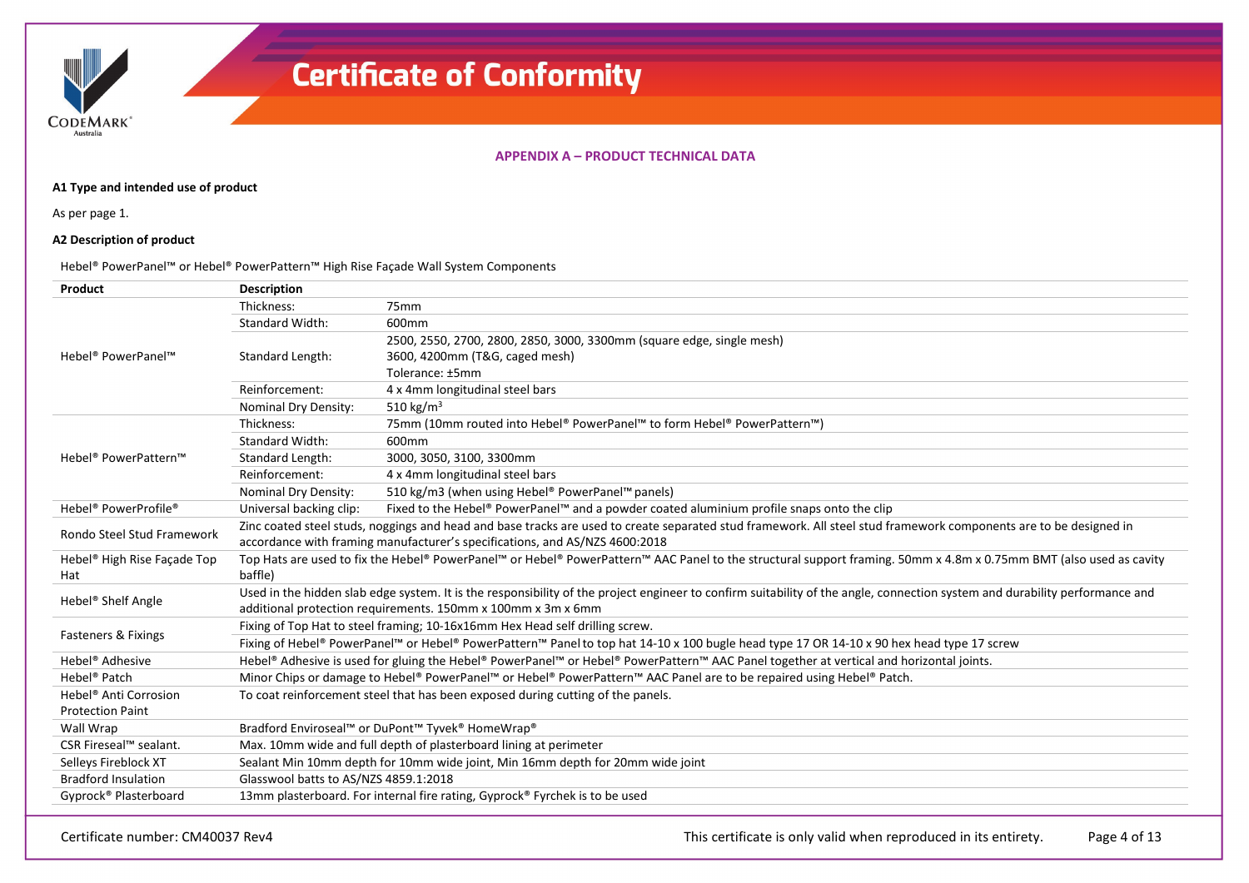**CODEMARK** Australia

### **APPENDIX A – PRODUCT TECHNICAL DATA**

### **A1 Type and intended use of product**

As per page 1.

### **A2 Description of product**

### Hebel® PowerPanel™ or Hebel® PowerPattern™ High Rise Façade Wall System Components

| Product                                      | <b>Description</b>                                                                                                                                                |                                                                                                                                                                             |  |  |  |
|----------------------------------------------|-------------------------------------------------------------------------------------------------------------------------------------------------------------------|-----------------------------------------------------------------------------------------------------------------------------------------------------------------------------|--|--|--|
|                                              | Thickness:                                                                                                                                                        | 75 <sub>mm</sub>                                                                                                                                                            |  |  |  |
|                                              | <b>Standard Width:</b>                                                                                                                                            | 600mm                                                                                                                                                                       |  |  |  |
|                                              |                                                                                                                                                                   | 2500, 2550, 2700, 2800, 2850, 3000, 3300mm (square edge, single mesh)                                                                                                       |  |  |  |
| Hebel <sup>®</sup> PowerPanel™               | Standard Length:                                                                                                                                                  | 3600, 4200mm (T&G, caged mesh)                                                                                                                                              |  |  |  |
|                                              |                                                                                                                                                                   | Tolerance: ±5mm                                                                                                                                                             |  |  |  |
|                                              | Reinforcement:                                                                                                                                                    | 4 x 4mm longitudinal steel bars                                                                                                                                             |  |  |  |
|                                              | Nominal Dry Density:                                                                                                                                              | 510 kg/m <sup>3</sup>                                                                                                                                                       |  |  |  |
|                                              | Thickness:                                                                                                                                                        | 75mm (10mm routed into Hebel® PowerPanel™ to form Hebel® PowerPattern™)                                                                                                     |  |  |  |
|                                              | <b>Standard Width:</b>                                                                                                                                            | 600mm                                                                                                                                                                       |  |  |  |
| Hebel <sup>®</sup> PowerPattern™             | Standard Length:                                                                                                                                                  | 3000, 3050, 3100, 3300mm                                                                                                                                                    |  |  |  |
|                                              | Reinforcement:                                                                                                                                                    | 4 x 4mm longitudinal steel bars                                                                                                                                             |  |  |  |
|                                              | Nominal Dry Density:                                                                                                                                              | 510 kg/m3 (when using Hebel® PowerPanel™ panels)                                                                                                                            |  |  |  |
| Hebel <sup>®</sup> PowerProfile <sup>®</sup> | Universal backing clip:                                                                                                                                           | Fixed to the Hebel® PowerPanel™ and a powder coated aluminium profile snaps onto the clip                                                                                   |  |  |  |
| Rondo Steel Stud Framework                   | Zinc coated steel studs, noggings and head and base tracks are used to create separated stud framework. All steel stud framework components are to be designed in |                                                                                                                                                                             |  |  |  |
|                                              | accordance with framing manufacturer's specifications, and AS/NZS 4600:2018                                                                                       |                                                                                                                                                                             |  |  |  |
| Hebel <sup>®</sup> High Rise Façade Top      |                                                                                                                                                                   | Top Hats are used to fix the Hebel® PowerPanel™ or Hebel® PowerPattern™ AAC Panel to the structural support framing. 50mm x 4.8m x 0.75mm BMT (also used as cavity          |  |  |  |
| Hat                                          | baffle)                                                                                                                                                           |                                                                                                                                                                             |  |  |  |
| Hebel <sup>®</sup> Shelf Angle               |                                                                                                                                                                   | Used in the hidden slab edge system. It is the responsibility of the project engineer to confirm suitability of the angle, connection system and durability performance and |  |  |  |
|                                              |                                                                                                                                                                   | additional protection requirements. 150mm x 100mm x 3m x 6mm                                                                                                                |  |  |  |
| Fasteners & Fixings                          |                                                                                                                                                                   | Fixing of Top Hat to steel framing; 10-16x16mm Hex Head self drilling screw.                                                                                                |  |  |  |
|                                              |                                                                                                                                                                   | Fixing of Hebel® PowerPanel™ or Hebel® PowerPattern™ Panel to top hat 14-10 x 100 bugle head type 17 OR 14-10 x 90 hex head type 17 screw                                   |  |  |  |
| Hebel <sup>®</sup> Adhesive                  |                                                                                                                                                                   | Hebel® Adhesive is used for gluing the Hebel® PowerPanel™ or Hebel® PowerPattern™ AAC Panel together at vertical and horizontal joints.                                     |  |  |  |
| Hebel <sup>®</sup> Patch                     |                                                                                                                                                                   | Minor Chips or damage to Hebel® PowerPanel™ or Hebel® PowerPattern™ AAC Panel are to be repaired using Hebel® Patch.                                                        |  |  |  |
| Hebel <sup>®</sup> Anti Corrosion            |                                                                                                                                                                   | To coat reinforcement steel that has been exposed during cutting of the panels.                                                                                             |  |  |  |
| <b>Protection Paint</b>                      |                                                                                                                                                                   |                                                                                                                                                                             |  |  |  |
| Wall Wrap                                    |                                                                                                                                                                   | Bradford Enviroseal™ or DuPont™ Tyvek® HomeWrap®                                                                                                                            |  |  |  |
| CSR Fireseal™ sealant.                       |                                                                                                                                                                   | Max. 10mm wide and full depth of plasterboard lining at perimeter                                                                                                           |  |  |  |
| Selleys Fireblock XT                         |                                                                                                                                                                   | Sealant Min 10mm depth for 10mm wide joint, Min 16mm depth for 20mm wide joint                                                                                              |  |  |  |
| <b>Bradford Insulation</b>                   | Glasswool batts to AS/NZS 4859.1:2018                                                                                                                             |                                                                                                                                                                             |  |  |  |
| Gyprock® Plasterboard                        |                                                                                                                                                                   | 13mm plasterboard. For internal fire rating, Gyprock® Fyrchek is to be used                                                                                                 |  |  |  |
|                                              |                                                                                                                                                                   |                                                                                                                                                                             |  |  |  |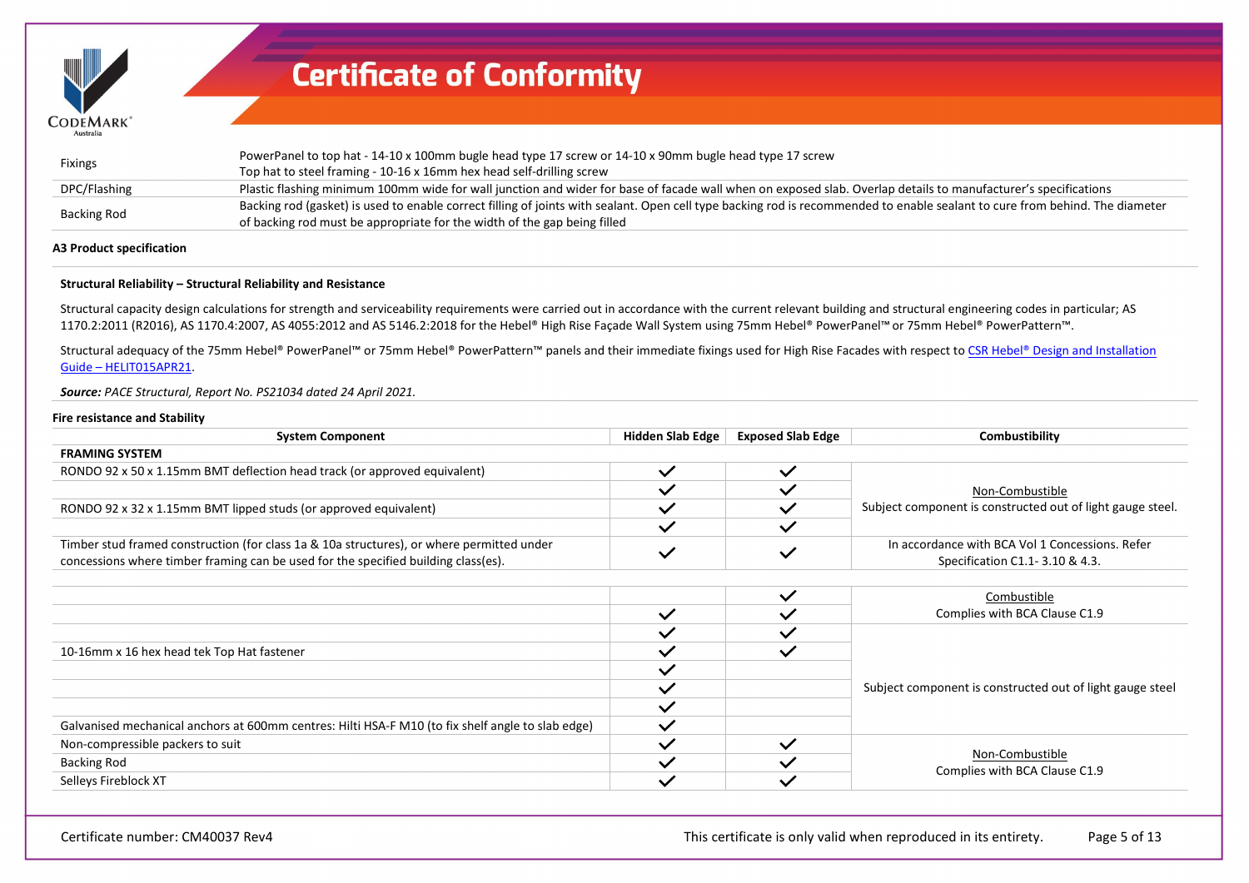

| <b>Fixings</b>     | PowerPanel to top hat - 14-10 x 100mm bugle head type 17 screw or 14-10 x 90mm bugle head type 17 screw<br>Top hat to steel framing - 10-16 x 16mm hex head self-drilling screw                                                                          |
|--------------------|----------------------------------------------------------------------------------------------------------------------------------------------------------------------------------------------------------------------------------------------------------|
| DPC/Flashing       | Plastic flashing minimum 100mm wide for wall junction and wider for base of facade wall when on exposed slab. Overlap details to manufacturer's specifications                                                                                           |
| <b>Backing Rod</b> | Backing rod (gasket) is used to enable correct filling of joints with sealant. Open cell type backing rod is recommended to enable sealant to cure from behind. The diameter<br>of backing rod must be appropriate for the width of the gap being filled |

#### **A3 Product specification**

### **Structural Reliability – Structural Reliability and Resistance**

Structural capacity design calculations for strength and serviceability requirements were carried out in accordance with the current relevant building and structural engineering codes in particular; AS 1170.2:2011 (R2016), AS 1170.4:2007, AS 4055:2012 and AS 5146.2:2018 for the Hebel® High Rise Façade Wall System using 75mm Hebel® PowerPanel™ or 75mm Hebel® PowerPattern™.

Structural adequacy of the 75mm Hebel® PowerPanel™ or 75mm Hebel® PowerPattern™ panels and their immediate fixings used for High Rise Facades with respect to CSR Hebel® Design and Installation [Guide – HELIT015APR21.](https://register.certmark.org/certificates/CSR-Building-Products/CM40037/HELIT015APRIL20_Facades_DI_Guide.pdf)

#### *Source: PACE Structural, Report No. PS21034 dated 24 April 2021.*

#### **Fire resistance and Stability**

| <b>System Component</b>                                                                                                                                                         | <b>Hidden Slab Edge</b> | <b>Exposed Slab Edge</b> | Combustibility                                                                    |
|---------------------------------------------------------------------------------------------------------------------------------------------------------------------------------|-------------------------|--------------------------|-----------------------------------------------------------------------------------|
| <b>FRAMING SYSTEM</b>                                                                                                                                                           |                         |                          |                                                                                   |
| RONDO 92 x 50 x 1.15mm BMT deflection head track (or approved equivalent)                                                                                                       | $\checkmark$            | $\checkmark$             |                                                                                   |
|                                                                                                                                                                                 | $\checkmark$            |                          | Non-Combustible                                                                   |
| RONDO 92 x 32 x 1.15mm BMT lipped studs (or approved equivalent)                                                                                                                | $\checkmark$            | $\checkmark$             | Subject component is constructed out of light gauge steel.                        |
|                                                                                                                                                                                 | $\checkmark$            | $\checkmark$             |                                                                                   |
| Timber stud framed construction (for class 1a & 10a structures), or where permitted under<br>concessions where timber framing can be used for the specified building class(es). | $\checkmark$            | $\checkmark$             | In accordance with BCA Vol 1 Concessions. Refer<br>Specification C1.1-3.10 & 4.3. |
|                                                                                                                                                                                 |                         |                          |                                                                                   |
|                                                                                                                                                                                 |                         | $\checkmark$             | Combustible                                                                       |
|                                                                                                                                                                                 | $\checkmark$            | $\checkmark$             | Complies with BCA Clause C1.9                                                     |
|                                                                                                                                                                                 | $\checkmark$            | $\checkmark$             |                                                                                   |
| 10-16mm x 16 hex head tek Top Hat fastener                                                                                                                                      | $\checkmark$            | $\checkmark$             |                                                                                   |
|                                                                                                                                                                                 | $\checkmark$            |                          |                                                                                   |
|                                                                                                                                                                                 | $\checkmark$            |                          | Subject component is constructed out of light gauge steel                         |
|                                                                                                                                                                                 | $\checkmark$            |                          |                                                                                   |
| Galvanised mechanical anchors at 600mm centres: Hilti HSA-F M10 (to fix shelf angle to slab edge)                                                                               | $\checkmark$            |                          |                                                                                   |
| Non-compressible packers to suit                                                                                                                                                | $\checkmark$            | $\checkmark$             |                                                                                   |
| <b>Backing Rod</b>                                                                                                                                                              | $\checkmark$            | $\checkmark$             | Non-Combustible                                                                   |
| Selleys Fireblock XT                                                                                                                                                            | $\checkmark$            | $\checkmark$             | Complies with BCA Clause C1.9                                                     |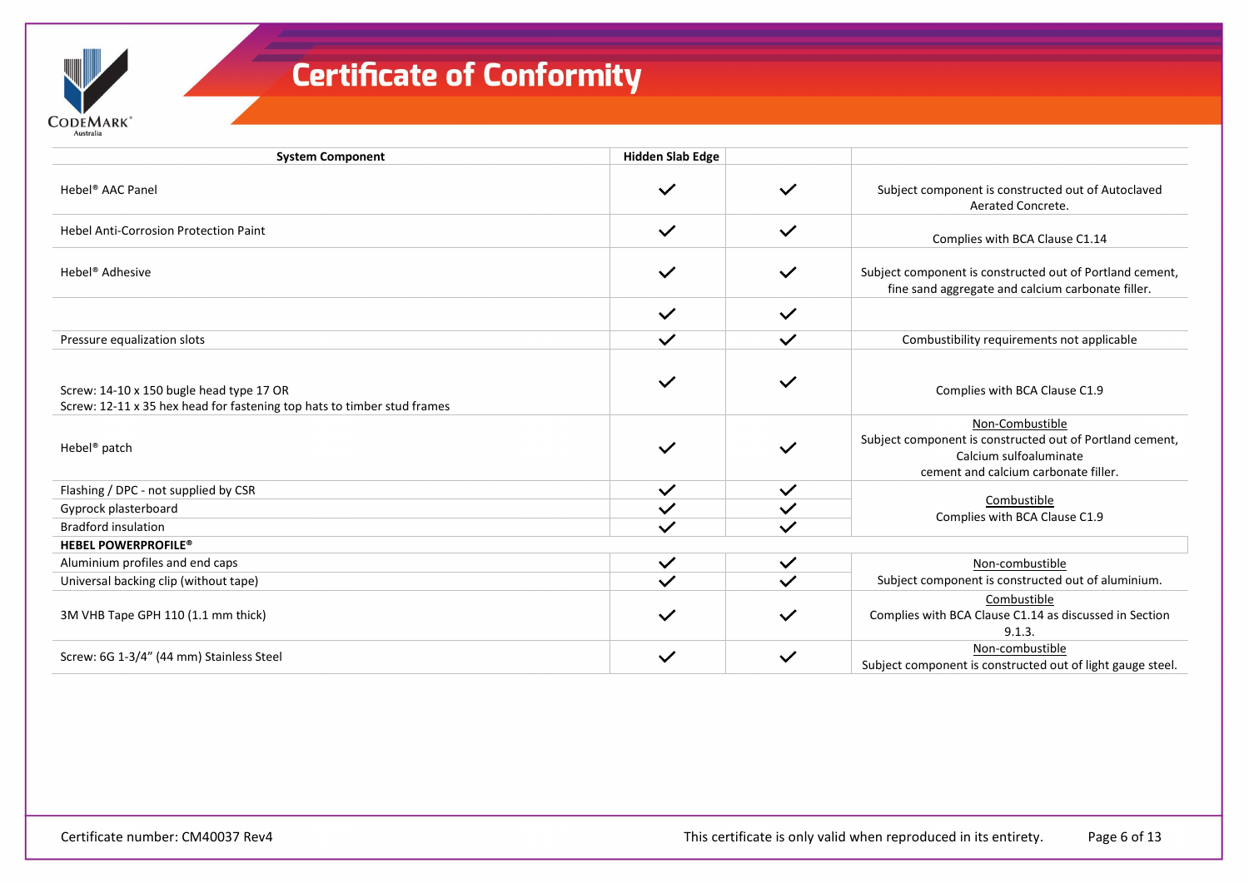| <b>System Component</b>                                                                                             | <b>Hidden Slab Edge</b> |              |                                                                                                                                               |
|---------------------------------------------------------------------------------------------------------------------|-------------------------|--------------|-----------------------------------------------------------------------------------------------------------------------------------------------|
| Hebel <sup>®</sup> AAC Panel                                                                                        | $\checkmark$            | $\checkmark$ | Subject component is constructed out of Autoclaved<br>Aerated Concrete.                                                                       |
| <b>Hebel Anti-Corrosion Protection Paint</b>                                                                        | $\checkmark$            | $\checkmark$ | Complies with BCA Clause C1.14                                                                                                                |
| Hebel <sup>®</sup> Adhesive                                                                                         | $\checkmark$            | $\checkmark$ | Subject component is constructed out of Portland cement,<br>fine sand aggregate and calcium carbonate filler.                                 |
|                                                                                                                     | $\checkmark$            | $\checkmark$ |                                                                                                                                               |
| Pressure equalization slots                                                                                         | $\checkmark$            | $\checkmark$ | Combustibility requirements not applicable                                                                                                    |
| Screw: 14-10 x 150 bugle head type 17 OR<br>Screw: 12-11 x 35 hex head for fastening top hats to timber stud frames | $\checkmark$            | $\checkmark$ | Complies with BCA Clause C1.9                                                                                                                 |
| Hebel <sup>®</sup> patch                                                                                            | $\checkmark$            | $\checkmark$ | Non-Combustible<br>Subject component is constructed out of Portland cement,<br>Calcium sulfoaluminate<br>cement and calcium carbonate filler. |
| Flashing / DPC - not supplied by CSR                                                                                | $\checkmark$            | $\checkmark$ |                                                                                                                                               |
| Gyprock plasterboard                                                                                                | $\checkmark$            | $\checkmark$ | Combustible                                                                                                                                   |
| <b>Bradford insulation</b>                                                                                          | $\checkmark$            | $\checkmark$ | Complies with BCA Clause C1.9                                                                                                                 |
| <b>HEBEL POWERPROFILE®</b>                                                                                          |                         |              |                                                                                                                                               |
| Aluminium profiles and end caps                                                                                     | $\checkmark$            | $\checkmark$ | Non-combustible                                                                                                                               |
| Universal backing clip (without tape)                                                                               | $\checkmark$            | $\checkmark$ | Subject component is constructed out of aluminium.                                                                                            |
| 3M VHB Tape GPH 110 (1.1 mm thick)                                                                                  | $\checkmark$            | $\checkmark$ | Combustible<br>Complies with BCA Clause C1.14 as discussed in Section<br>9.1.3.                                                               |
| Screw: 6G 1-3/4" (44 mm) Stainless Steel                                                                            | $\checkmark$            | $\checkmark$ | Non-combustible<br>Subject component is constructed out of light gauge steel.                                                                 |

 $\mathsf{CoDEMARK}^*$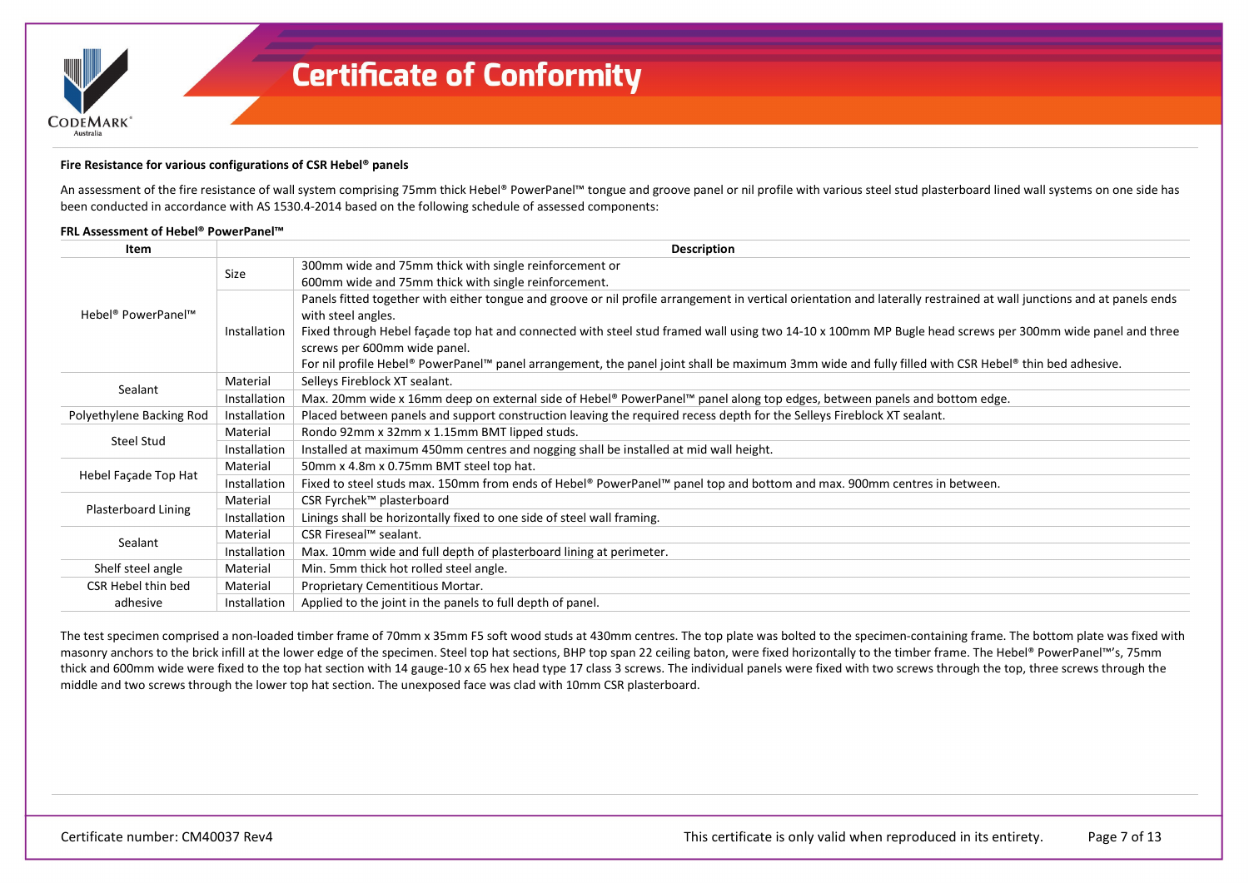

#### **Fire Resistance for various configurations of CSR Hebel® panels**

An assessment of the fire resistance of wall system comprising 75mm thick Hebel® PowerPanel™ tongue and groove panel or nil profile with various steel stud plasterboard lined wall systems on one side has been conducted in accordance with AS 1530.4-2014 based on the following schedule of assessed components:

### **FRL Assessment of Hebel® PowerPanel™**

| Item                           |              | <b>Description</b>                                                                                                                                                                          |
|--------------------------------|--------------|---------------------------------------------------------------------------------------------------------------------------------------------------------------------------------------------|
|                                | Size         | 300mm wide and 75mm thick with single reinforcement or                                                                                                                                      |
|                                |              | 600mm wide and 75mm thick with single reinforcement.                                                                                                                                        |
| Hebel <sup>®</sup> PowerPanel™ |              | Panels fitted together with either tongue and groove or nil profile arrangement in vertical orientation and laterally restrained at wall junctions and at panels ends<br>with steel angles. |
|                                | Installation | Fixed through Hebel façade top hat and connected with steel stud framed wall using two 14-10 x 100mm MP Bugle head screws per 300mm wide panel and three<br>screws per 600mm wide panel.    |
|                                |              | For nil profile Hebel® PowerPanel™ panel arrangement, the panel joint shall be maximum 3mm wide and fully filled with CSR Hebel® thin bed adhesive.                                         |
| Sealant                        | Material     | Selleys Fireblock XT sealant.                                                                                                                                                               |
|                                | Installation | Max. 20mm wide x 16mm deep on external side of Hebel® PowerPanel™ panel along top edges, between panels and bottom edge.                                                                    |
| Polyethylene Backing Rod       | Installation | Placed between panels and support construction leaving the required recess depth for the Selleys Fireblock XT sealant.                                                                      |
| Steel Stud                     | Material     | Rondo 92mm x 32mm x 1.15mm BMT lipped studs.                                                                                                                                                |
|                                | Installation | Installed at maximum 450mm centres and nogging shall be installed at mid wall height.                                                                                                       |
|                                | Material     | 50mm x 4.8m x 0.75mm BMT steel top hat.                                                                                                                                                     |
| Hebel Façade Top Hat           | Installation | Fixed to steel studs max. 150mm from ends of Hebel® PowerPanel™ panel top and bottom and max. 900mm centres in between.                                                                     |
|                                | Material     | CSR Fyrchek™ plasterboard                                                                                                                                                                   |
| Plasterboard Lining            | Installation | Linings shall be horizontally fixed to one side of steel wall framing.                                                                                                                      |
|                                | Material     | CSR Fireseal™ sealant.                                                                                                                                                                      |
| Sealant                        | Installation | Max. 10mm wide and full depth of plasterboard lining at perimeter.                                                                                                                          |
| Shelf steel angle              | Material     | Min. 5mm thick hot rolled steel angle.                                                                                                                                                      |
| CSR Hebel thin bed             | Material     | Proprietary Cementitious Mortar.                                                                                                                                                            |
| adhesive                       | Installation | Applied to the joint in the panels to full depth of panel.                                                                                                                                  |

The test specimen comprised a non-loaded timber frame of 70mm x 35mm F5 soft wood studs at 430mm centres. The top plate was bolted to the specimen-containing frame. The bottom plate was fixed with masonry anchors to the brick infill at the lower edge of the specimen. Steel top hat sections, BHP top span 22 ceiling baton, were fixed horizontally to the timber frame. The Hebel® PowerPanel™'s, 75mm thick and 600mm wide were fixed to the top hat section with 14 gauge-10 x 65 hex head type 17 class 3 screws. The individual panels were fixed with two screws through the top, three screws through the middle and two screws through the lower top hat section. The unexposed face was clad with 10mm CSR plasterboard.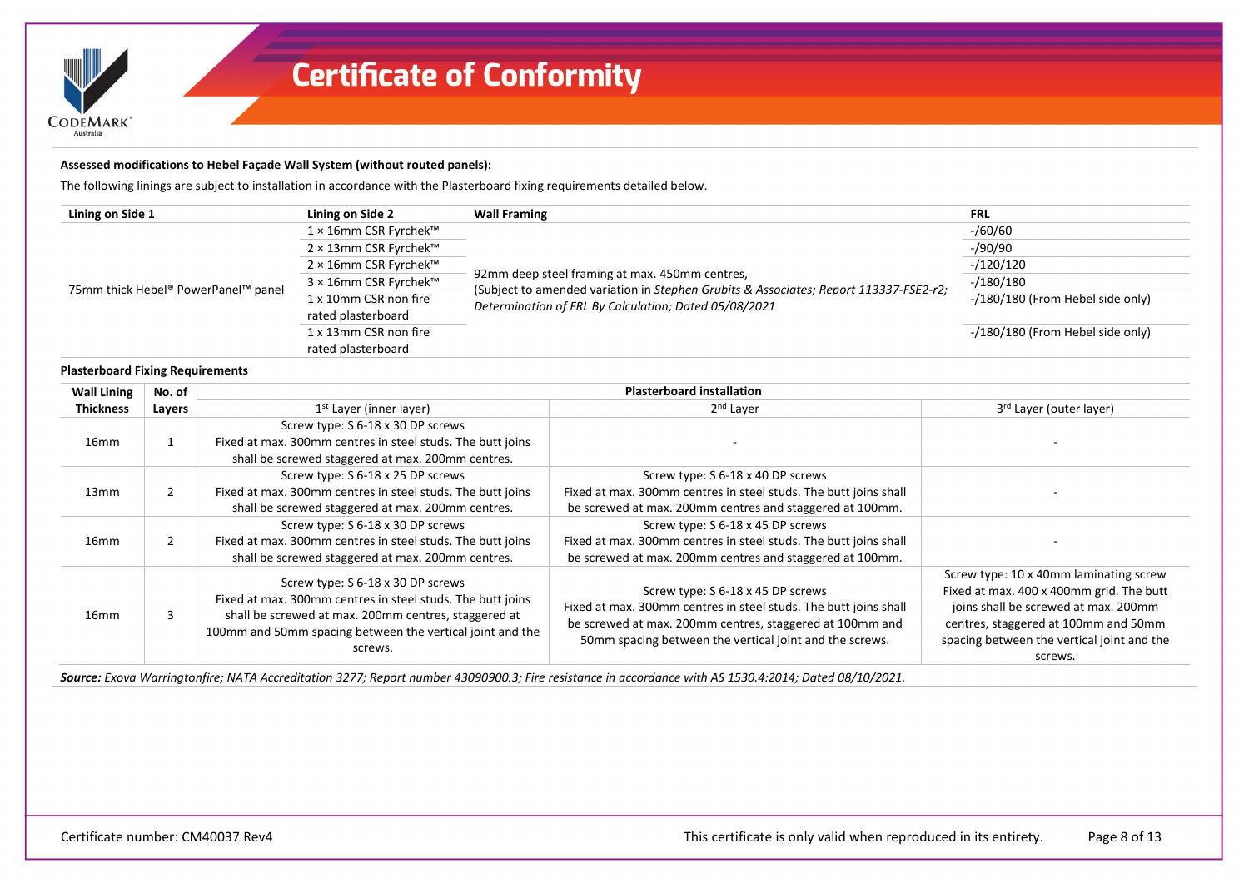

### **Assessed modifications to Hebel Façade Wall System (without routed panels):**

The following linings are subject to installation in accordance with the Plasterboard fixing requirements detailed below.

| Lining on Side 1                    | Lining on Side 2      | <b>Wall Framing</b>                                                                                                                     | <b>FRL</b>                       |
|-------------------------------------|-----------------------|-----------------------------------------------------------------------------------------------------------------------------------------|----------------------------------|
|                                     | 1 × 16mm CSR Fyrchek™ |                                                                                                                                         | $-$ /60/60                       |
|                                     | 2 × 13mm CSR Fyrchek™ |                                                                                                                                         | $-$ /90/90                       |
|                                     | 2 × 16mm CSR Fyrchek™ |                                                                                                                                         | $-120/120$                       |
| 75mm thick Hebel® PowerPanel™ panel | 3 × 16mm CSR Fyrchek™ | 92mm deep steel framing at max. 450mm centres,<br>(Subject to amended variation in Stephen Grubits & Associates; Report 113337-FSE2-r2; | $-180/180$                       |
|                                     | 1 x 10mm CSR non fire | Determination of FRL By Calculation; Dated 05/08/2021                                                                                   | -/180/180 (From Hebel side only) |
|                                     | rated plasterboard    |                                                                                                                                         |                                  |
|                                     | 1 x 13mm CSR non fire |                                                                                                                                         | -/180/180 (From Hebel side only) |
|                                     | rated plasterboard    |                                                                                                                                         |                                  |

#### **Plasterboard Fixing Requirements**

| <b>Wall Lining</b> | No. of |                                                                                                                                                                                                                                 | <b>Plasterboard installation</b>                                                                                                                                                                                             |                                                                                                                                                                                                                             |
|--------------------|--------|---------------------------------------------------------------------------------------------------------------------------------------------------------------------------------------------------------------------------------|------------------------------------------------------------------------------------------------------------------------------------------------------------------------------------------------------------------------------|-----------------------------------------------------------------------------------------------------------------------------------------------------------------------------------------------------------------------------|
| <b>Thickness</b>   | Layers | 1 <sup>st</sup> Layer (inner layer)                                                                                                                                                                                             | 2 <sup>nd</sup> Layer                                                                                                                                                                                                        | 3rd Layer (outer layer)                                                                                                                                                                                                     |
| 16 <sub>mm</sub>   |        | Screw type: S 6-18 x 30 DP screws<br>Fixed at max. 300mm centres in steel studs. The butt joins<br>shall be screwed staggered at max. 200mm centres.                                                                            |                                                                                                                                                                                                                              |                                                                                                                                                                                                                             |
| 13mm               |        | Screw type: S 6-18 x 25 DP screws<br>Fixed at max. 300mm centres in steel studs. The butt joins<br>shall be screwed staggered at max. 200mm centres.                                                                            | Screw type: S 6-18 x 40 DP screws<br>Fixed at max. 300mm centres in steel studs. The butt joins shall<br>be screwed at max. 200mm centres and staggered at 100mm.                                                            |                                                                                                                                                                                                                             |
| 16 <sub>mm</sub>   |        | Screw type: S 6-18 x 30 DP screws<br>Fixed at max. 300mm centres in steel studs. The butt joins<br>shall be screwed staggered at max. 200mm centres.                                                                            | Screw type: S 6-18 x 45 DP screws<br>Fixed at max. 300mm centres in steel studs. The butt joins shall<br>be screwed at max. 200mm centres and staggered at 100mm.                                                            |                                                                                                                                                                                                                             |
| 16 <sub>mm</sub>   | 3      | Screw type: S 6-18 x 30 DP screws<br>Fixed at max. 300mm centres in steel studs. The butt joins<br>shall be screwed at max. 200mm centres, staggered at<br>100mm and 50mm spacing between the vertical joint and the<br>screws. | Screw type: S 6-18 x 45 DP screws<br>Fixed at max. 300mm centres in steel studs. The butt joins shall<br>be screwed at max. 200mm centres, staggered at 100mm and<br>50mm spacing between the vertical joint and the screws. | Screw type: 10 x 40mm laminating screw<br>Fixed at max. 400 x 400mm grid. The butt<br>joins shall be screwed at max. 200mm<br>centres, staggered at 100mm and 50mm<br>spacing between the vertical joint and the<br>screws. |

*Source: Exova Warringtonfire; NATA Accreditation 3277; Report number 43090900.3; Fire resistance in accordance with AS 1530.4:2014; Dated 08/10/2021.*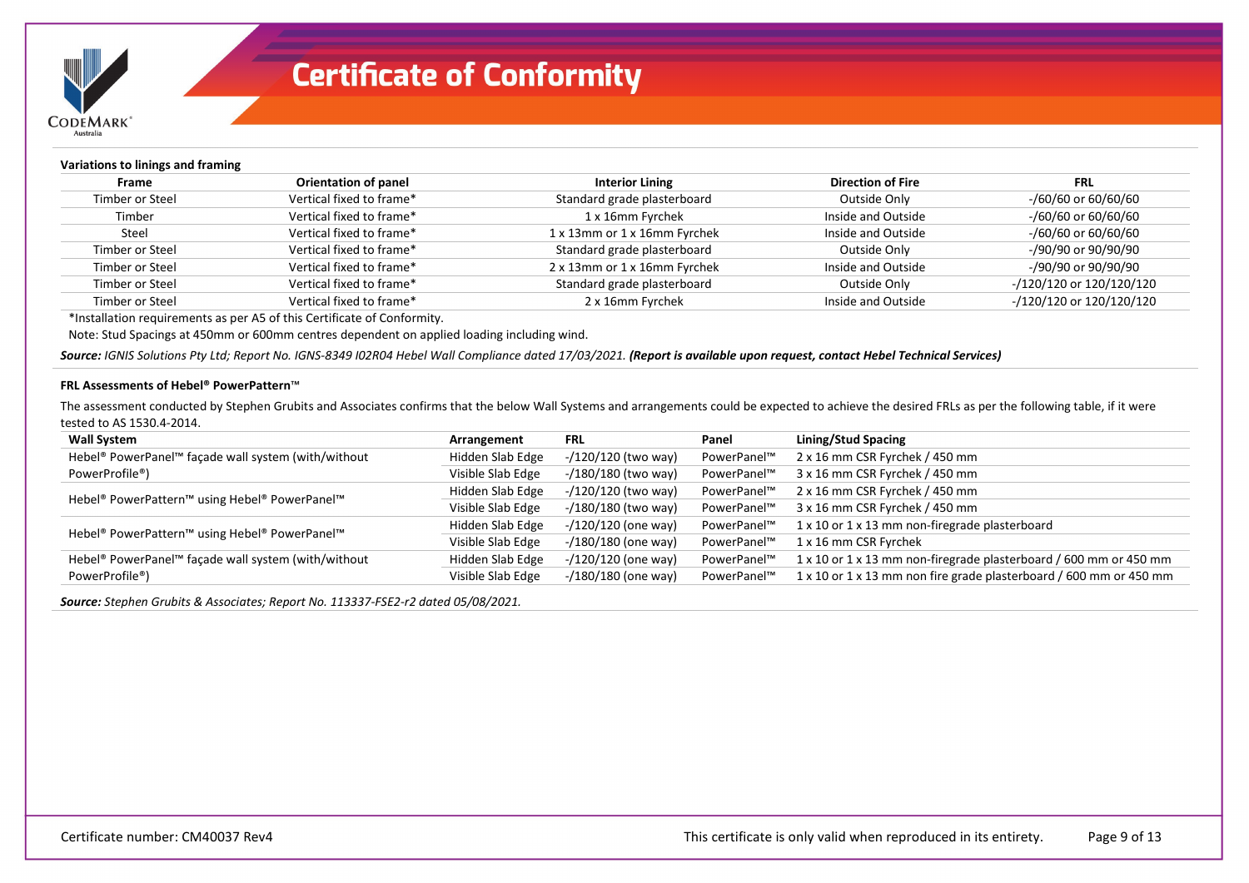

| Variations to linings and framing |                             |                              |                          |                             |
|-----------------------------------|-----------------------------|------------------------------|--------------------------|-----------------------------|
| Frame                             | <b>Orientation of panel</b> | <b>Interior Lining</b>       | <b>Direction of Fire</b> | <b>FRL</b>                  |
| Timber or Steel                   | Vertical fixed to frame*    | Standard grade plasterboard  | Outside Only             | -/60/60 or 60/60/60         |
| Timber                            | Vertical fixed to frame*    | 1 x 16mm Fyrchek             | Inside and Outside       | -/60/60 or 60/60/60         |
| Steel                             | Vertical fixed to frame*    | 1 x 13mm or 1 x 16mm Fyrchek | Inside and Outside       | -/60/60 or 60/60/60         |
| Timber or Steel                   | Vertical fixed to frame*    | Standard grade plasterboard  | Outside Only             | -/90/90 or 90/90/90         |
| Timber or Steel                   | Vertical fixed to frame*    | 2 x 13mm or 1 x 16mm Fyrchek | Inside and Outside       | -/90/90 or 90/90/90         |
| Timber or Steel                   | Vertical fixed to frame*    | Standard grade plasterboard  | Outside Only             | -/120/120 or 120/120/120    |
| Timber or Steel                   | Vertical fixed to frame*    | 2 x 16mm Fyrchek             | Inside and Outside       | $-$ /120/120 or 120/120/120 |

\*Installation requirements as per A5 of this Certificate of Conformity.

Note: Stud Spacings at 450mm or 600mm centres dependent on applied loading including wind.

*Source: IGNIS Solutions Pty Ltd; Report No. IGNS-8349 I02R04 Hebel Wall Compliance dated 17/03/2021. (Report is available upon request, contact Hebel Technical Services)*

#### **FRL Assessments of Hebel® PowerPattern**™

The assessment conducted by Stephen Grubits and Associates confirms that the below Wall Systems and arrangements could be expected to achieve the desired FRLs as per the following table, if it were tested to AS 1530.4-2014.

| <b>Wall System</b>                                        | Arrangement       | <b>FRL</b>             | Panel       | Lining/Stud Spacing                                                |
|-----------------------------------------------------------|-------------------|------------------------|-------------|--------------------------------------------------------------------|
| Hebel® PowerPanel™ façade wall system (with/without       | Hidden Slab Edge  | -/120/120 (two way)    | PowerPanel™ | 2 x 16 mm CSR Fyrchek / 450 mm                                     |
| PowerProfile <sup>®</sup> )                               | Visible Slab Edge | -/180/180 (two way)    | PowerPanel™ | 3 x 16 mm CSR Fyrchek / 450 mm                                     |
|                                                           | Hidden Slab Edge  | $-$ /120/120 (two way) | PowerPanel™ | 2 x 16 mm CSR Fyrchek / 450 mm                                     |
| Hebel® PowerPattern™ using Hebel® PowerPanel™             | Visible Slab Edge | -/180/180 (two way)    | PowerPanel™ | 3 x 16 mm CSR Fyrchek / 450 mm                                     |
| Hebel <sup>®</sup> PowerPattern™ using Hebel® PowerPanel™ | Hidden Slab Edge  | $-$ /120/120 (one way) | PowerPanel™ | 1 x 10 or 1 x 13 mm non-firegrade plasterboard                     |
|                                                           | Visible Slab Edge | -/180/180 (one way)    | PowerPanel™ | 1 x 16 mm CSR Fyrchek                                              |
| Hebel® PowerPanel™ façade wall system (with/without       | Hidden Slab Edge  | $-$ /120/120 (one way) | PowerPanel™ | 1 x 10 or 1 x 13 mm non-firegrade plasterboard / 600 mm or 450 mm  |
| PowerProfile <sup>®</sup> )                               | Visible Slab Edge | $-$ /180/180 (one way) | PowerPanel™ | 1 x 10 or 1 x 13 mm non fire grade plasterboard / 600 mm or 450 mm |

*Source: Stephen Grubits & Associates; Report No. 113337-FSE2-r2 dated 05/08/2021.*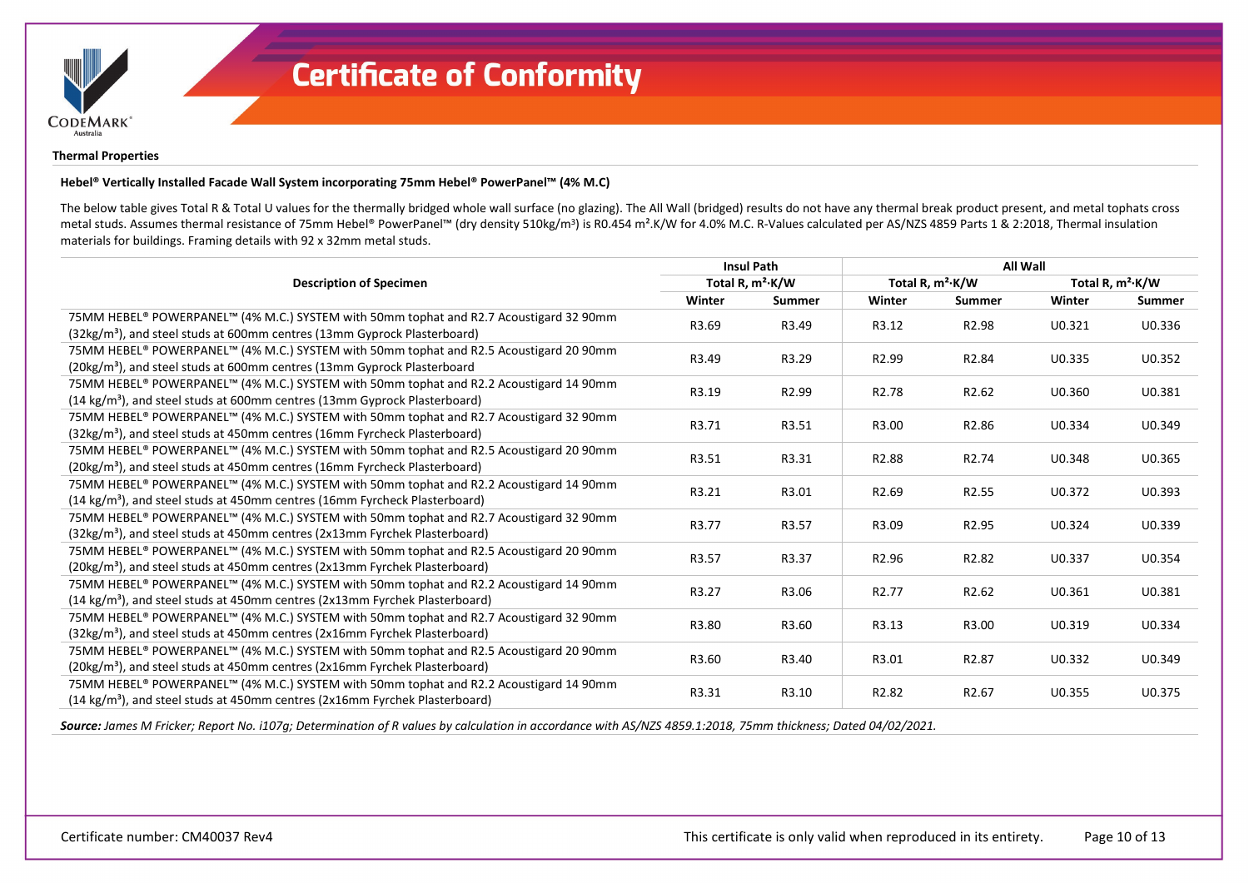

### **Thermal Properties**

### **Hebel® Vertically Installed Facade Wall System incorporating 75mm Hebel® PowerPanel™ (4% M.C)**

The below table gives Total R & Total U values for the thermally bridged whole wall surface (no glazing). The All Wall (bridged) results do not have any thermal break product present, and metal tophats cross metal studs. Assumes thermal resistance of 75mm Hebel® PowerPanel™ (dry density 510kg/m<sup>3</sup>) is R0.454 m<sup>2</sup>.K/W for 4.0% M.C. R-Values calculated per AS/NZS 4859 Parts 1 & 2:2018, Thermal insulation materials for buildings. Framing details with 92 x 32mm metal studs.

|                                                                                         |                | <b>Insul Path</b>   | <b>All Wall</b>     |                    |                              |        |
|-----------------------------------------------------------------------------------------|----------------|---------------------|---------------------|--------------------|------------------------------|--------|
| <b>Description of Specimen</b>                                                          |                | Total R, $m^2$ ·K/W | Total R, $m^2$ ·K/W |                    | Total R, m <sup>2</sup> ·K/W |        |
|                                                                                         | Winter         | Summer              | Winter              | <b>Summer</b>      | Winter                       | Summer |
| 75MM HEBEL® POWERPANEL™ (4% M.C.) SYSTEM with 50mm tophat and R2.7 Acoustigard 32 90mm  | R3.69          | R3.49               | R3.12               | R <sub>2.98</sub>  | U0.321                       | U0.336 |
| (32kg/m <sup>3</sup> ), and steel studs at 600mm centres (13mm Gyprock Plasterboard)    |                |                     |                     |                    |                              |        |
| 75MM HEBEL® POWERPANEL™ (4% M.C.) SYSTEM with 50mm tophat and R2.5 Acoustigard 20 90mm  | R3.49          | R3.29               | R <sub>2.99</sub>   | R <sub>2.84</sub>  | U0.335                       | U0.352 |
| (20kg/m <sup>3</sup> ), and steel studs at 600mm centres (13mm Gyprock Plasterboard     |                |                     |                     |                    |                              |        |
| 75MM HEBEL® POWERPANEL™ (4% M.C.) SYSTEM with 50mm tophat and R2.2 Acoustigard 14 90mm  | R3.19          | R <sub>2.99</sub>   | R <sub>2.78</sub>   | R <sub>2.62</sub>  | U0.360                       | U0.381 |
| $(14 \text{ kg/m}^3)$ , and steel studs at 600mm centres (13mm Gyprock Plasterboard)    |                |                     |                     |                    |                              |        |
| 75MM HEBEL® POWERPANEL™ (4% M.C.) SYSTEM with 50mm tophat and R2.7 Acoustigard 32 90mm  | R3.71<br>R3.51 |                     | R3.00               | R2.86              | U0.334                       | U0.349 |
| (32kg/m <sup>3</sup> ), and steel studs at 450mm centres (16mm Fyrcheck Plasterboard)   |                |                     |                     |                    |                              |        |
| 75MM HEBEL® POWERPANEL™ (4% M.C.) SYSTEM with 50mm tophat and R2.5 Acoustigard 20 90mm  | R3.51          | R3.31               | R <sub>2.88</sub>   | R <sub>2.74</sub>  | U0.348                       | U0.365 |
| (20kg/m <sup>3</sup> ), and steel studs at 450mm centres (16mm Fyrcheck Plasterboard)   |                |                     |                     |                    |                              |        |
| 75MM HEBEL® POWERPANEL™ (4% M.C.) SYSTEM with 50mm tophat and R2.2 Acoustigard 14 90mm  | R3.21          | R3.01               | R <sub>2.69</sub>   | R <sub>2.55</sub>  | U0.372                       | U0.393 |
| (14 kg/m <sup>3</sup> ), and steel studs at 450mm centres (16mm Fyrcheck Plasterboard)  |                |                     |                     |                    |                              |        |
| 75MM HEBEL® POWERPANEL™ (4% M.C.) SYSTEM with 50mm tophat and R2.7 Acoustigard 32 90mm  | R3.77          | R3.57               | R3.09               | R <sub>2.95</sub>  | U0.324                       | U0.339 |
| $(32\text{kg/m}^3)$ , and steel studs at 450mm centres $(2x13$ mm Fyrchek Plasterboard) |                |                     |                     |                    |                              |        |
| 75MM HEBEL® POWERPANEL™ (4% M.C.) SYSTEM with 50mm tophat and R2.5 Acoustigard 20 90mm  | R3.57          | R3.37               | R <sub>2.96</sub>   | R <sub>2.82</sub>  | U0.337                       | U0.354 |
| (20kg/m <sup>3</sup> ), and steel studs at 450mm centres (2x13mm Fyrchek Plasterboard)  |                |                     |                     |                    |                              |        |
| 75MM HEBEL® POWERPANEL™ (4% M.C.) SYSTEM with 50mm tophat and R2.2 Acoustigard 14 90mm  | R3.27          | R3.06               | R <sub>2.77</sub>   | R <sub>2</sub> .62 | U0.361                       | U0.381 |
| (14 kg/m <sup>3</sup> ), and steel studs at 450mm centres (2x13mm Fyrchek Plasterboard) |                |                     |                     |                    |                              |        |
| 75MM HEBEL® POWERPANEL™ (4% M.C.) SYSTEM with 50mm tophat and R2.7 Acoustigard 32 90mm  | R3.80          | R3.60               | R3.13               | R3.00              | U0.319                       | U0.334 |
| $(32\text{kg/m}^3)$ , and steel studs at 450mm centres (2x16mm Fyrchek Plasterboard)    |                |                     |                     |                    |                              |        |
| 75MM HEBEL® POWERPANEL™ (4% M.C.) SYSTEM with 50mm tophat and R2.5 Acoustigard 20 90mm  | R3.60          | R3.40               | R3.01               | R <sub>2.87</sub>  | U0.332                       | U0.349 |
| (20kg/m <sup>3</sup> ), and steel studs at 450mm centres (2x16mm Fyrchek Plasterboard)  |                |                     |                     |                    |                              |        |
| 75MM HEBEL® POWERPANEL™ (4% M.C.) SYSTEM with 50mm tophat and R2.2 Acoustigard 14 90mm  | R3.31          | R3.10               | R <sub>2.82</sub>   | R <sub>2.67</sub>  | U0.355                       | U0.375 |
| (14 kg/m <sup>3</sup> ), and steel studs at 450mm centres (2x16mm Fyrchek Plasterboard) |                |                     |                     |                    |                              |        |

*Source: James M Fricker; Report No. i107g; Determination of R values by calculation in accordance with AS/NZS 4859.1:2018, 75mm thickness; Dated 04/02/2021.*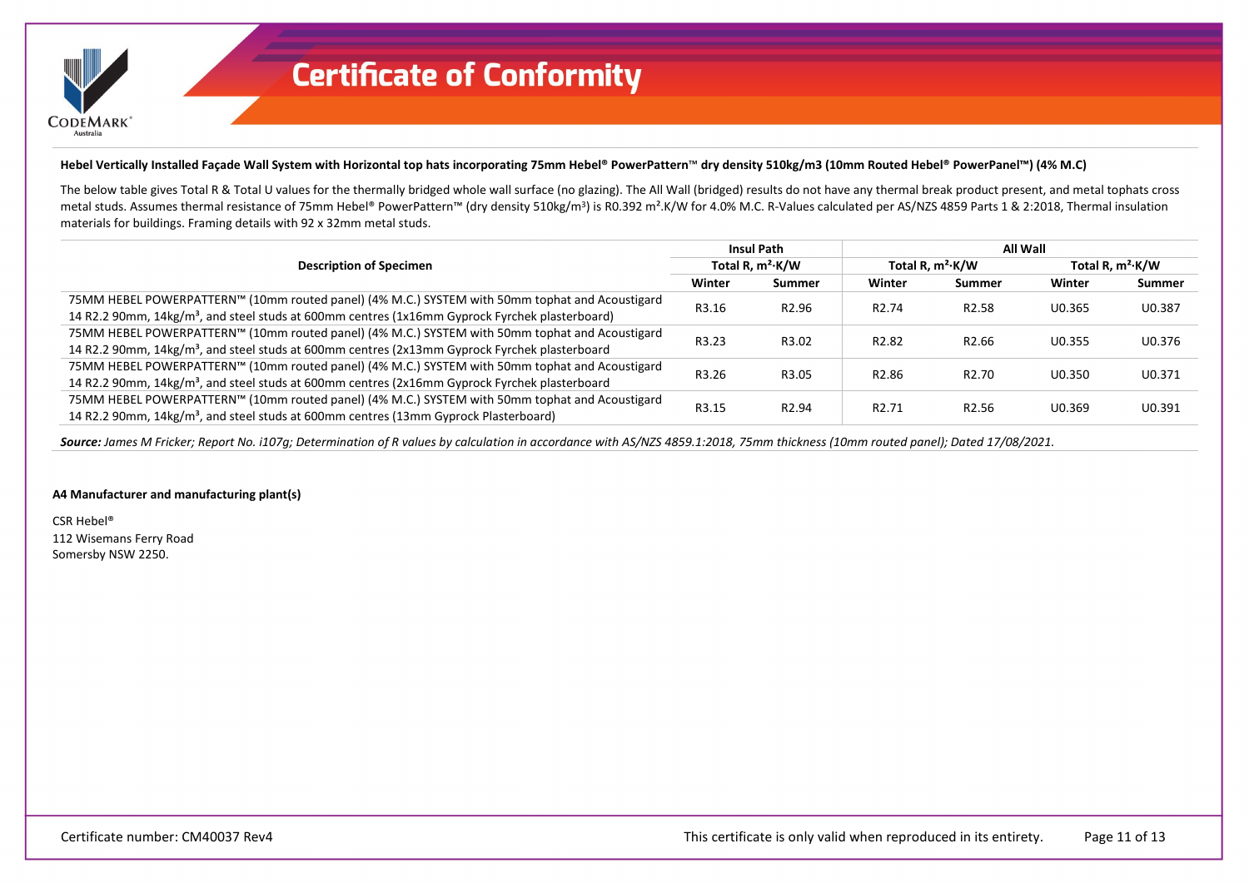

### **Hebel Vertically Installed Façade Wall System with Horizontal top hats incorporating 75mm Hebel® PowerPattern**™ **dry density 510kg/m3 (10mm Routed Hebel® PowerPanel™) (4% M.C)**

The below table gives Total R & Total U values for the thermally bridged whole wall surface (no glazing). The All Wall (bridged) results do not have any thermal break product present, and metal tophats cross metal studs. Assumes thermal resistance of 75mm Hebel® PowerPattern™ (dry density 510kg/m<sup>3</sup>) is R0.392 m<sup>2</sup>.K/W for 4.0% M.C. R-Values calculated per AS/NZS 4859 Parts 1 & 2:2018, Thermal insulation materials for buildings. Framing details with 92 x 32mm metal studs.

| <b>Description of Specimen</b>                                                                             | <b>Insul Path</b>   |                   | All Wall            |                   |                     |        |
|------------------------------------------------------------------------------------------------------------|---------------------|-------------------|---------------------|-------------------|---------------------|--------|
|                                                                                                            | Total R, $m^2$ ·K/W |                   | Total R, $m^2$ ·K/W |                   | Total R, $m^2$ ·K/W |        |
|                                                                                                            | Winter              | Summer            | Winter              | <b>Summer</b>     | Winter              | Summer |
| 75MM HEBEL POWERPATTERN™ (10mm routed panel) (4% M.C.) SYSTEM with 50mm tophat and Acoustigard             | R3.16               | R <sub>2.96</sub> | R <sub>2.74</sub>   | R <sub>2.58</sub> | U0.365              | U0.387 |
| 14 R2.2 90mm, 14kg/m <sup>3</sup> , and steel studs at 600mm centres (1x16mm Gyprock Fyrchek plasterboard) |                     |                   |                     |                   |                     |        |
| 75MM HEBEL POWERPATTERN™ (10mm routed panel) (4% M.C.) SYSTEM with 50mm tophat and Acoustigard             | R3.23               | R3.02             | R <sub>2.82</sub>   | R <sub>2.66</sub> | U0.355              | U0.376 |
| 14 R2.2 90mm, 14kg/m <sup>3</sup> , and steel studs at 600mm centres (2x13mm Gyprock Fyrchek plasterboard  |                     |                   |                     |                   |                     |        |
| 75MM HEBEL POWERPATTERN™ (10mm routed panel) (4% M.C.) SYSTEM with 50mm tophat and Acoustigard             | R3.26               | R3.05             | R <sub>2.86</sub>   | R <sub>2.70</sub> | U0.350              | U0.371 |
| 14 R2.2 90mm, 14kg/m <sup>3</sup> , and steel studs at 600mm centres (2x16mm Gyprock Fyrchek plasterboard  |                     |                   |                     |                   |                     |        |
| 75MM HEBEL POWERPATTERN™ (10mm routed panel) (4% M.C.) SYSTEM with 50mm tophat and Acoustigard             | R3.15               | R <sub>2.94</sub> | R <sub>2.71</sub>   | R <sub>2.56</sub> | U0.369              | U0.391 |
| 14 R2.2 90mm, 14kg/m <sup>3</sup> , and steel studs at 600mm centres (13mm Gyprock Plasterboard)           |                     |                   |                     |                   |                     |        |

*Source: James M Fricker; Report No. i107g; Determination of R values by calculation in accordance with AS/NZS 4859.1:2018, 75mm thickness (10mm routed panel); Dated 17/08/2021.*

#### **A4 Manufacturer and manufacturing plant(s)**

CSR Hebel® 112 Wisemans Ferry Road Somersby NSW 2250.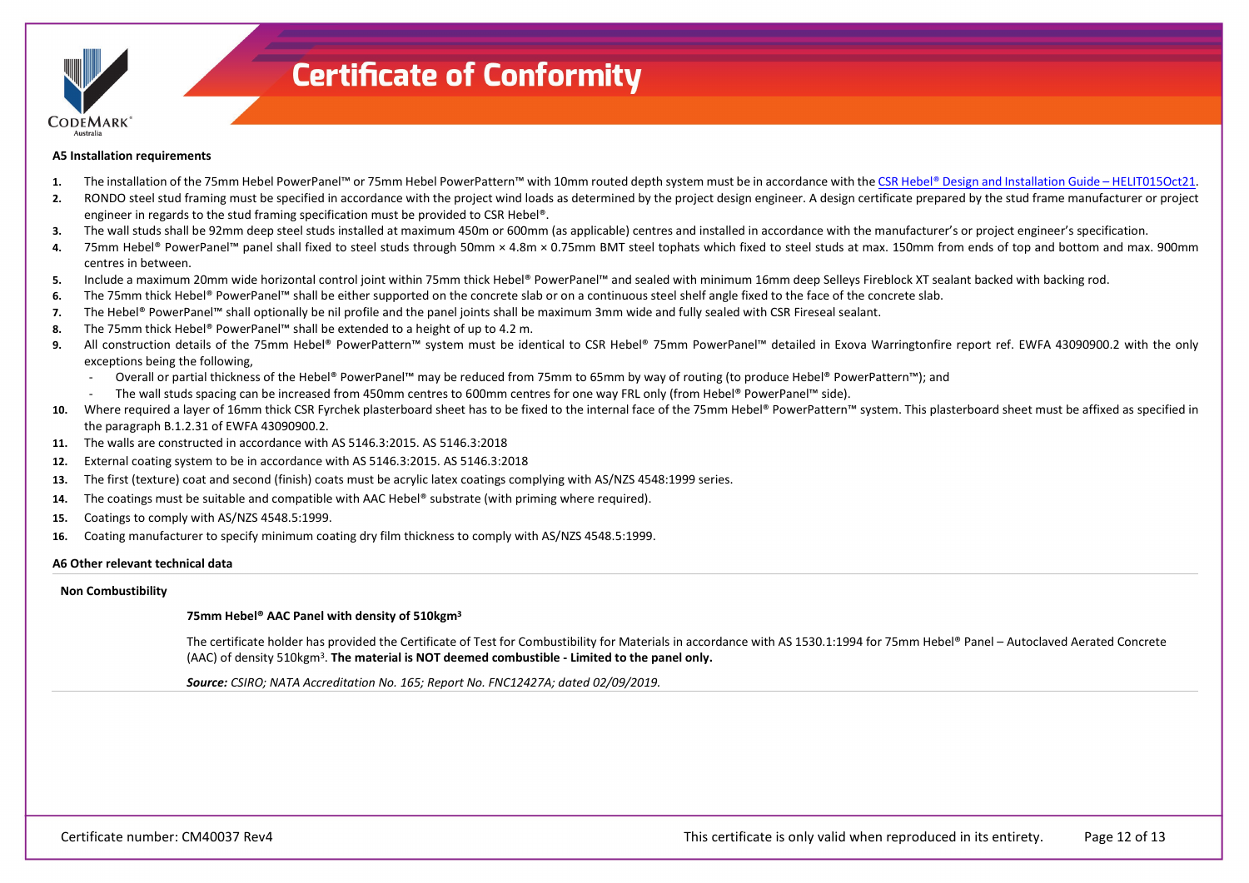

#### **A5 Installation requirements**

- **1.** The installation of the 75mm Hebel PowerPanel™ or 75mm Hebel PowerPattern™ with 10mm routed depth system must be in accordance with th[e CSR Hebel® Design and Installation Guide –](https://register.certmark.org/certificates/CSR-Building-Products/CM40037/HELIT015Oct21_Facades_D&I_Guide.pdf) HELIT015Oct21.
- 2. RONDO steel stud framing must be specified in accordance with the project wind loads as determined by the project design engineer. A design certificate prepared by the stud frame manufacturer or project engineer in regards to the stud framing specification must be provided to CSR Hebel®.
- **3.** The wall studs shall be 92mm deep steel studs installed at maximum 450m or 600mm (as applicable) centres and installed in accordance with the manufacturer's or project engineer's specification.
- 4. 75mm Hebel® PowerPanel™ panel shall fixed to steel studs through 50mm × 4.8m × 0.75mm BMT steel tophats which fixed to steel studs at max. 150mm from ends of top and bottom and max. 900mm centres in between.
- **5.** Include a maximum 20mm wide horizontal control joint within 75mm thick Hebel® PowerPanel™ and sealed with minimum 16mm deep Selleys Fireblock XT sealant backed with backing rod.
- **6.** The 75mm thick Hebel® PowerPanel™ shall be either supported on the concrete slab or on a continuous steel shelf angle fixed to the face of the concrete slab.
- **7.** The Hebel® PowerPanel™ shall optionally be nil profile and the panel joints shall be maximum 3mm wide and fully sealed with CSR Fireseal sealant.
- **8.** The 75mm thick Hebel® PowerPanel™ shall be extended to a height of up to 4.2 m.
- 9. All construction details of the 75mm Hebel® PowerPattern™ system must be identical to CSR Hebel® 75mm PowerPanel™ detailed in Exova Warringtonfire report ref. EWFA 43090900.2 with the only exceptions being the following,
	- Overall or partial thickness of the Hebel® PowerPanel™ may be reduced from 75mm to 65mm by way of routing (to produce Hebel® PowerPattern™); and
	- The wall studs spacing can be increased from 450mm centres to 600mm centres for one way FRL only (from Hebel® PowerPanel™ side).
- 10. Where required a layer of 16mm thick CSR Fyrchek plasterboard sheet has to be fixed to the internal face of the 75mm Hebel® PowerPattern™ system. This plasterboard sheet must be affixed as specified in the paragraph B.1.2.31 of EWFA 43090900.2.
- **11.** The walls are constructed in accordance with AS 5146.3:2015. AS 5146.3:2018
- **12.** External coating system to be in accordance with AS 5146.3:2015. AS 5146.3:2018
- **13.** The first (texture) coat and second (finish) coats must be acrylic latex coatings complying with AS/NZS 4548:1999 series.
- **14.** The coatings must be suitable and compatible with AAC Hebel® substrate (with priming where required).
- **15.** Coatings to comply with AS/NZS 4548.5:1999.
- **16.** Coating manufacturer to specify minimum coating dry film thickness to comply with AS/NZS 4548.5:1999.

#### **A6 Other relevant technical data**

#### **Non Combustibility**

### **75mm Hebel® AAC Panel with density of 510kgm3**

The certificate holder has provided the Certificate of Test for Combustibility for Materials in accordance with AS 1530.1:1994 for 75mm Hebel® Panel – Autoclaved Aerated Concrete (AAC) of density 510kgm3. **The material is NOT deemed combustible - Limited to the panel only.** 

*Source: CSIRO; NATA Accreditation No. 165; Report No. FNC12427A; dated 02/09/2019.*